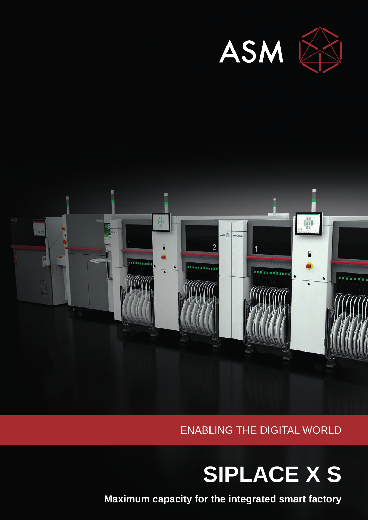



ENABLING THE DIGITAL WORLD

# **SIPLACE X S**

**Maximum capacity for the integrated smart factory**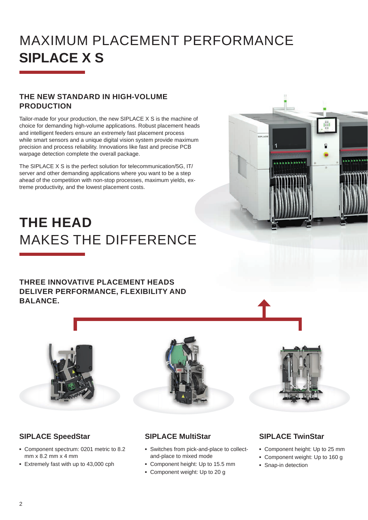## MAXIMUM PLACEMENT PERFORMANCE **SIPLACE X S**

#### **THE NEW STANDARD IN HIGH-VOLUME PRODUCTION**

Tailor-made for your production, the new SIPLACE X S is the machine of choice for demanding high-volume applications. Robust placement heads and intelligent feeders ensure an extremely fast placement process while smart sensors and a unique digital vision system provide maximum precision and process reliability. Innovations like fast and precise PCB warpage detection complete the overall package.

The SIPLACE X S is the perfect solution for telecommunication/5G, IT/ server and other demanding applications where you want to be a step ahead of the competition with non-stop processes, maximum yields, extreme productivity, and the lowest placement costs.

# **THE HEAD**  MAKES THE DIFFERENCE

**THREE INNOVATIVE PLACEMENT HEADS DELIVER PERFORMANCE, FLEXIBILITY AND BALANCE.**





#### **SIPLACE SpeedStar**

- **▪** Component spectrum: 0201 metric to 8.2 mm x 8.2 mm x 4 mm
- **▪** Extremely fast with up to 43,000 cph

### **SIPLACE MultiStar**

- **▪** Switches from pick-and-place to collectand-place to mixed mode
- **▪** Component height: Up to 15.5 mm
- **▪** Component weight: Up to 20 g

#### **SIPLACE TwinStar**

- **▪** Component height: Up to 25 mm
- **▪** Component weight: Up to 160 g
- **▪** Snap-in detection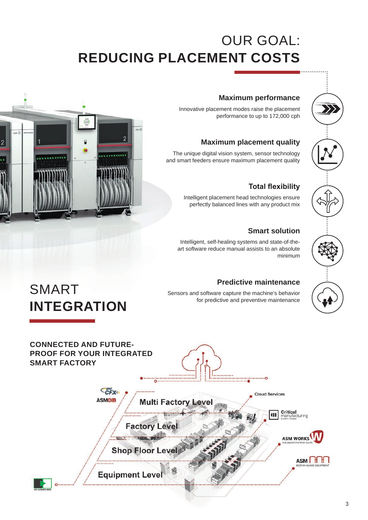## OUR GOAL: **REDUCING PLACEMENT COSTS**

#### **Maximum performance**

Innovative placement modes raise the placement performance to up to 172,000 cph

#### **Maximum placement quality**

The unique digital vision system, sensor technology and smart feeders ensure maximum placement quality

#### **Total flexibility**

Intelligent placement head technologies ensure perfectly balanced lines with any product mix

#### **Smart solution**

Intelligent, self-healing systems and state-of-theart software reduce manual assists to an absolute minimum

#### **Predictive maintenance**

Sensors and software capture the machine's behavior for predictive and preventive maintenance



SMART

**INTEGRATION** 

### **CONNECTED AND FUTURE-PROOF FOR YOUR INTEGRATED SMART FACTORY** CEY **Cloud Services ASMOIB Multi Factory Level Critical**<br>manufacturing  $\mathbf{u}$ **Factory Leve ASM WORKS Shop Floor Level** ASM HH **Equipment Level**